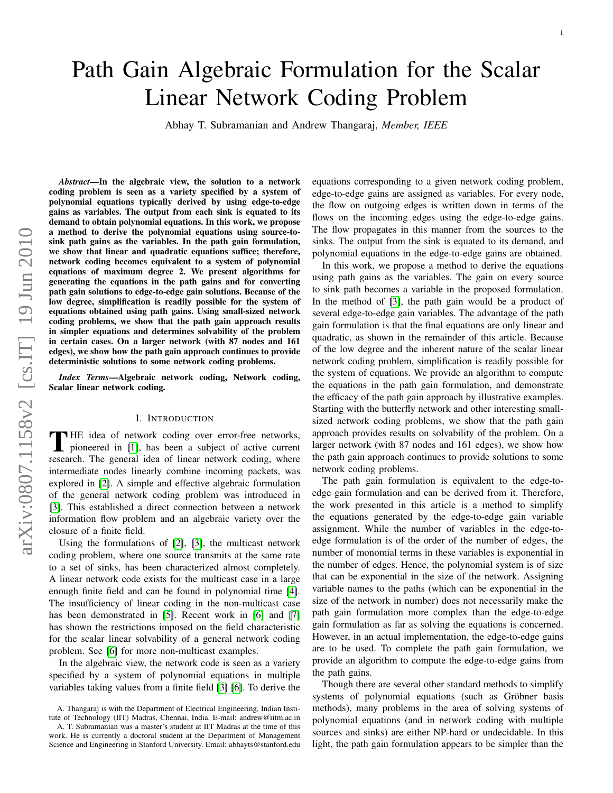# Path Gain Algebraic Formulation for the Scalar Linear Network Coding Problem

Abhay T. Subramanian and Andrew Thangaraj, *Member, IEEE*

*Abstract*—In the algebraic view, the solution to a network coding problem is seen as a variety specified by a system of polynomial equations typically derived by using edge-to-edge gains as variables. The output from each sink is equated to its demand to obtain polynomial equations. In this work, we propose a method to derive the polynomial equations using source-tosink path gains as the variables. In the path gain formulation, we show that linear and quadratic equations suffice; therefore, network coding becomes equivalent to a system of polynomial equations of maximum degree 2. We present algorithms for generating the equations in the path gains and for converting path gain solutions to edge-to-edge gain solutions. Because of the low degree, simplification is readily possible for the system of equations obtained using path gains. Using small-sized network coding problems, we show that the path gain approach results in simpler equations and determines solvability of the problem in certain cases. On a larger network (with 87 nodes and 161 edges), we show how the path gain approach continues to provide deterministic solutions to some network coding problems.

*Index Terms*—Algebraic network coding, Network coding, Scalar linear network coding.

# I. INTRODUCTION

THE idea of network coding over error-free networks,<br>pioneered in [1], has been a subject of active current<br>measurable. The second idea of linear actual so dine, where pioneered in [\[1\]](#page-11-0), has been a subject of active current research. The general idea of linear network coding, where intermediate nodes linearly combine incoming packets, was explored in [\[2\]](#page-11-1). A simple and effective algebraic formulation of the general network coding problem was introduced in [\[3\]](#page-11-2). This established a direct connection between a network information flow problem and an algebraic variety over the closure of a finite field.

Using the formulations of [\[2\]](#page-11-1), [\[3\]](#page-11-2), the multicast network coding problem, where one source transmits at the same rate to a set of sinks, has been characterized almost completely. A linear network code exists for the multicast case in a large enough finite field and can be found in polynomial time [\[4\]](#page-11-3). The insufficiency of linear coding in the non-multicast case has been demonstrated in [\[5\]](#page-11-4). Recent work in [\[6\]](#page-11-5) and [\[7\]](#page-11-6) has shown the restrictions imposed on the field characteristic for the scalar linear solvability of a general network coding problem. See [\[6\]](#page-11-5) for more non-multicast examples.

In the algebraic view, the network code is seen as a variety specified by a system of polynomial equations in multiple variables taking values from a finite field [\[3\]](#page-11-2) [\[6\]](#page-11-5). To derive the

A. Thangaraj is with the Department of Electrical Engineering, Indian Institute of Technology (IIT) Madras, Chennai, India. E-mail: andrew@iitm.ac.in A. T. Subramanian was a master's student at IIT Madras at the time of this work. He is currently a doctoral student at the Department of Management Science and Engineering in Stanford University. Email: abhayts@stanford.edu

equations corresponding to a given network coding problem, edge-to-edge gains are assigned as variables. For every node, the flow on outgoing edges is written down in terms of the flows on the incoming edges using the edge-to-edge gains. The flow propagates in this manner from the sources to the sinks. The output from the sink is equated to its demand, and polynomial equations in the edge-to-edge gains are obtained.

In this work, we propose a method to derive the equations using path gains as the variables. The gain on every source to sink path becomes a variable in the proposed formulation. In the method of [\[3\]](#page-11-2), the path gain would be a product of several edge-to-edge gain variables. The advantage of the path gain formulation is that the final equations are only linear and quadratic, as shown in the remainder of this article. Because of the low degree and the inherent nature of the scalar linear network coding problem, simplification is readily possible for the system of equations. We provide an algorithm to compute the equations in the path gain formulation, and demonstrate the efficacy of the path gain approach by illustrative examples. Starting with the butterfly network and other interesting smallsized network coding problems, we show that the path gain approach provides results on solvability of the problem. On a larger network (with 87 nodes and 161 edges), we show how the path gain approach continues to provide solutions to some network coding problems.

The path gain formulation is equivalent to the edge-toedge gain formulation and can be derived from it. Therefore, the work presented in this article is a method to simplify the equations generated by the edge-to-edge gain variable assignment. While the number of variables in the edge-toedge formulation is of the order of the number of edges, the number of monomial terms in these variables is exponential in the number of edges. Hence, the polynomial system is of size that can be exponential in the size of the network. Assigning variable names to the paths (which can be exponential in the size of the network in number) does not necessarily make the path gain formulation more complex than the edge-to-edge gain formulation as far as solving the equations is concerned. However, in an actual implementation, the edge-to-edge gains are to be used. To complete the path gain formulation, we provide an algorithm to compute the edge-to-edge gains from the path gains.

Though there are several other standard methods to simplify systems of polynomial equations (such as Gröbner basis methods), many problems in the area of solving systems of polynomial equations (and in network coding with multiple sources and sinks) are either NP-hard or undecidable. In this light, the path gain formulation appears to be simpler than the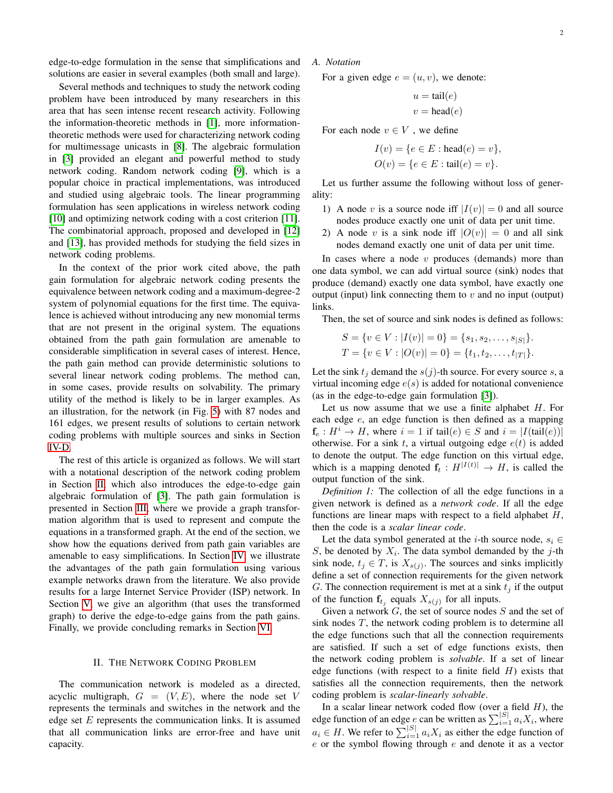edge-to-edge formulation in the sense that simplifications and solutions are easier in several examples (both small and large).

Several methods and techniques to study the network coding problem have been introduced by many researchers in this area that has seen intense recent research activity. Following the information-theoretic methods in [\[1\]](#page-11-0), more informationtheoretic methods were used for characterizing network coding for multimessage unicasts in [\[8\]](#page-11-7). The algebraic formulation in [\[3\]](#page-11-2) provided an elegant and powerful method to study network coding. Random network coding [\[9\]](#page-11-8), which is a popular choice in practical implementations, was introduced and studied using algebraic tools. The linear programming formulation has seen applications in wireless network coding [\[10\]](#page-11-9) and optimizing network coding with a cost criterion [\[11\]](#page-11-10). The combinatorial approach, proposed and developed in [\[12\]](#page-11-11) and [\[13\]](#page-11-12), has provided methods for studying the field sizes in network coding problems.

In the context of the prior work cited above, the path gain formulation for algebraic network coding presents the equivalence between network coding and a maximum-degree-2 system of polynomial equations for the first time. The equivalence is achieved without introducing any new monomial terms that are not present in the original system. The equations obtained from the path gain formulation are amenable to considerable simplification in several cases of interest. Hence, the path gain method can provide deterministic solutions to several linear network coding problems. The method can, in some cases, provide results on solvability. The primary utility of the method is likely to be in larger examples. As an illustration, for the network (in Fig. [5\)](#page-8-0) with 87 nodes and 161 edges, we present results of solutions to certain network coding problems with multiple sources and sinks in Section [IV-D.](#page-7-0)

The rest of this article is organized as follows. We will start with a notational description of the network coding problem in Section [II,](#page-1-0) which also introduces the edge-to-edge gain algebraic formulation of [\[3\]](#page-11-2). The path gain formulation is presented in Section [III,](#page-2-0) where we provide a graph transformation algorithm that is used to represent and compute the equations in a transformed graph. At the end of the section, we show how the equations derived from path gain variables are amenable to easy simplifications. In Section [IV,](#page-5-0) we illustrate the advantages of the path gain formulation using various example networks drawn from the literature. We also provide results for a large Internet Service Provider (ISP) network. In Section [V,](#page-8-1) we give an algorithm (that uses the transformed graph) to derive the edge-to-edge gains from the path gains. Finally, we provide concluding remarks in Section [VI.](#page-11-13)

#### II. THE NETWORK CODING PROBLEM

<span id="page-1-0"></span>The communication network is modeled as a directed, acyclic multigraph,  $G = (V, E)$ , where the node set V represents the terminals and switches in the network and the edge set  $E$  represents the communication links. It is assumed that all communication links are error-free and have unit capacity.

## *A. Notation*

For a given edge  $e = (u, v)$ , we denote:

$$
u = \text{tail}(e)
$$

$$
v = \text{head}(e)
$$

For each node  $v \in V$ , we define

$$
I(v) = \{e \in E : \text{head}(e) = v\},\
$$
  

$$
O(v) = \{e \in E : \text{tail}(e) = v\}.
$$

Let us further assume the following without loss of generality:

- 1) A node v is a source node iff  $|I(v)| = 0$  and all source nodes produce exactly one unit of data per unit time.
- 2) A node v is a sink node iff  $|O(v)| = 0$  and all sink nodes demand exactly one unit of data per unit time.

In cases where a node  $v$  produces (demands) more than one data symbol, we can add virtual source (sink) nodes that produce (demand) exactly one data symbol, have exactly one output (input) link connecting them to  $v$  and no input (output) links.

Then, the set of source and sink nodes is defined as follows:

$$
S = \{v \in V : |I(v)| = 0\} = \{s_1, s_2, \dots, s_{|S|}\}.
$$
  

$$
T = \{v \in V : |O(v)| = 0\} = \{t_1, t_2, \dots, t_{|T|}\}.
$$

Let the sink  $t_j$  demand the  $s(j)$ -th source. For every source s, a virtual incoming edge  $e(s)$  is added for notational convenience (as in the edge-to-edge gain formulation [\[3\]](#page-11-2)).

Let us now assume that we use a finite alphabet  $H$ . For each edge e, an edge function is then defined as a mapping  $f_e: H^i \to H$ , where  $i = 1$  if tail $(e) \in S$  and  $i = |I(tail(e))|$ otherwise. For a sink t, a virtual outgoing edge  $e(t)$  is added to denote the output. The edge function on this virtual edge, which is a mapping denoted  $f_t : H^{|I(t)|} \to H$ , is called the output function of the sink.

*Definition 1:* The collection of all the edge functions in a given network is defined as a *network code*. If all the edge functions are linear maps with respect to a field alphabet  $H$ , then the code is a *scalar linear code*.

Let the data symbol generated at the *i*-th source node,  $s_i \in$ S, be denoted by  $X_i$ . The data symbol demanded by the j-th sink node,  $t_j \in T$ , is  $X_{s(j)}$ . The sources and sinks implicitly define a set of connection requirements for the given network G. The connection requirement is met at a sink  $t_i$  if the output of the function  $f_{t_j}$  equals  $X_{s(j)}$  for all inputs.

Given a network  $G$ , the set of source nodes  $S$  and the set of sink nodes  $T$ , the network coding problem is to determine all the edge functions such that all the connection requirements are satisfied. If such a set of edge functions exists, then the network coding problem is *solvable*. If a set of linear edge functions (with respect to a finite field  $H$ ) exists that satisfies all the connection requirements, then the network coding problem is *scalar-linearly solvable*.

In a scalar linear network coded flow (over a field  $H$ ), the edge function of an edge e can be written as  $\sum_{i=1}^{|S|} a_i X_i$ , where  $a_i \in H$ . We refer to  $\sum_{i=1}^{|S|} a_i X_i$  as either the edge function of  $e$  or the symbol flowing through  $e$  and denote it as a vector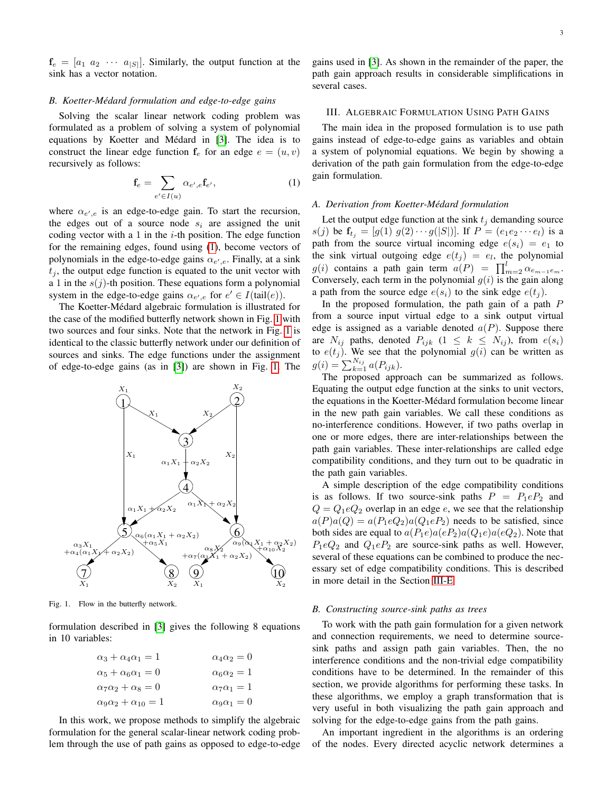$f_e = [a_1 \ a_2 \ \cdots \ a_{|S|}]$ . Similarly, the output function at the sink has a vector notation.

# *B. Koetter-Medard formulation and edge-to-edge gains ´*

Solving the scalar linear network coding problem was formulated as a problem of solving a system of polynomial equations by Koetter and Médard in [\[3\]](#page-11-2). The idea is to construct the linear edge function  $f_e$  for an edge  $e = (u, v)$ recursively as follows:

<span id="page-2-1"></span>
$$
\mathbf{f}_e = \sum_{e' \in I(u)} \alpha_{e',e} \mathbf{f}_{e'}, \tag{1}
$$

where  $\alpha_{e',e}$  is an edge-to-edge gain. To start the recursion, the edges out of a source node  $s_i$  are assigned the unit coding vector with a 1 in the  $i$ -th position. The edge function for the remaining edges, found using [\(1\)](#page-2-1), become vectors of polynomials in the edge-to-edge gains  $\alpha_{e',e}$ . Finally, at a sink  $t_i$ , the output edge function is equated to the unit vector with a 1 in the  $s(j)$ -th position. These equations form a polynomial system in the edge-to-edge gains  $\alpha_{e',e}$  for  $e' \in I(\text{tail}(e)).$ 

The Koetter-Médard algebraic formulation is illustrated for the case of the modified butterfly network shown in Fig. [1](#page-2-2) with two sources and four sinks. Note that the network in Fig. [1](#page-2-2) is identical to the classic butterfly network under our definition of sources and sinks. The edge functions under the assignment of edge-to-edge gains (as in [\[3\]](#page-11-2)) are shown in Fig. [1.](#page-2-2) The



<span id="page-2-2"></span>Fig. 1. Flow in the butterfly network.

formulation described in [\[3\]](#page-11-2) gives the following 8 equations in 10 variables:

| $\alpha_3 + \alpha_4 \alpha_1 = 1$ | $\alpha_4\alpha_2=0$    |
|------------------------------------|-------------------------|
| $\alpha_5 + \alpha_6 \alpha_1 = 0$ | $\alpha_6 \alpha_2 = 1$ |
| $\alpha_7 \alpha_2 + \alpha_8 = 0$ | $\alpha_7\alpha_1=1$    |
| $\alpha_9\alpha_2+\alpha_{10}=1$   | $\alpha_9 \alpha_1 = 0$ |

In this work, we propose methods to simplify the algebraic formulation for the general scalar-linear network coding problem through the use of path gains as opposed to edge-to-edge gains used in [\[3\]](#page-11-2). As shown in the remainder of the paper, the path gain approach results in considerable simplifications in several cases.

#### <span id="page-2-0"></span>III. ALGEBRAIC FORMULATION USING PATH GAINS

The main idea in the proposed formulation is to use path gains instead of edge-to-edge gains as variables and obtain a system of polynomial equations. We begin by showing a derivation of the path gain formulation from the edge-to-edge gain formulation.

# <span id="page-2-3"></span>*A. Derivation from Koetter-Medard formulation ´*

Let the output edge function at the sink  $t_j$  demanding source  $s(j)$  be  $f_{t_j} = [g(1) \ g(2) \cdots g(|S|)]$ . If  $P = (e_1 e_2 \cdots e_l)$  is a path from the source virtual incoming edge  $e(s_i) = e_1$  to the sink virtual outgoing edge  $e(t_j) = e_l$ , the polynomial  $g(i)$  contains a path gain term  $a(P) = \prod_{m=2}^{l} \alpha_{e_{m-1}e_m}$ . Conversely, each term in the polynomial  $g(i)$  is the gain along a path from the source edge  $e(s_i)$  to the sink edge  $e(t_j)$ .

In the proposed formulation, the path gain of a path  $P$ from a source input virtual edge to a sink output virtual edge is assigned as a variable denoted  $a(P)$ . Suppose there are  $N_{ij}$  paths, denoted  $P_{ijk}$   $(1 \leq k \leq N_{ij})$ , from  $e(s_i)$ to  $e(t_j)$ . We see that the polynomial  $g(i)$  can be written as  $g(i) = \sum_{k=1}^{N_{ij}} a(P_{ijk}).$ 

The proposed approach can be summarized as follows. Equating the output edge function at the sinks to unit vectors, the equations in the Koetter-Médard formulation become linear in the new path gain variables. We call these conditions as no-interference conditions. However, if two paths overlap in one or more edges, there are inter-relationships between the path gain variables. These inter-relationships are called edge compatibility conditions, and they turn out to be quadratic in the path gain variables.

A simple description of the edge compatibility conditions is as follows. If two source-sink paths  $P = P_1eP_2$  and  $Q = Q_1 e Q_2$  overlap in an edge e, we see that the relationship  $a(P)a(Q) = a(P_1eQ_2)a(Q_1eP_2)$  needs to be satisfied, since both sides are equal to  $a(P_1e)a(eP_2)a(Q_1e)a(eQ_2)$ . Note that  $P_1eQ_2$  and  $Q_1eP_2$  are source-sink paths as well. However, several of these equations can be combined to produce the necessary set of edge compatibility conditions. This is described in more detail in the Section [III-E.](#page-4-0)

#### *B. Constructing source-sink paths as trees*

To work with the path gain formulation for a given network and connection requirements, we need to determine sourcesink paths and assign path gain variables. Then, the no interference conditions and the non-trivial edge compatibility conditions have to be determined. In the remainder of this section, we provide algorithms for performing these tasks. In these algorithms, we employ a graph transformation that is very useful in both visualizing the path gain approach and solving for the edge-to-edge gains from the path gains.

An important ingredient in the algorithms is an ordering of the nodes. Every directed acyclic network determines a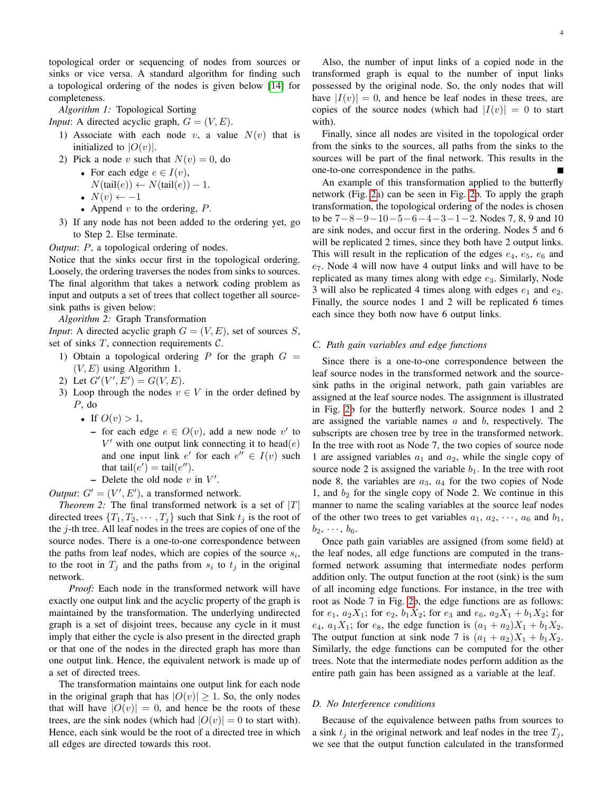topological order or sequencing of nodes from sources or sinks or vice versa. A standard algorithm for finding such a topological ordering of the nodes is given below [\[14\]](#page-11-14) for completeness.

<span id="page-3-0"></span>*Algorithm 1:* Topological Sorting

*Input*: A directed acyclic graph,  $G = (V, E)$ .

- 1) Associate with each node v, a value  $N(v)$  that is initialized to  $|O(v)|$ .
- 2) Pick a node v such that  $N(v) = 0$ , do
	- For each edge  $e \in I(v)$ ,  $N(\text{tail}(e)) \leftarrow N(\text{tail}(e)) - 1.$
	- $N(v) \leftarrow -1$
	- Append  $v$  to the ordering,  $P$ .
- 3) If any node has not been added to the ordering yet, go to Step 2. Else terminate.

*Output*: P, a topological ordering of nodes.

Notice that the sinks occur first in the topological ordering. Loosely, the ordering traverses the nodes from sinks to sources. The final algorithm that takes a network coding problem as input and outputs a set of trees that collect together all sourcesink paths is given below:

*Algorithm 2:* Graph Transformation

*Input*: A directed acyclic graph  $G = (V, E)$ , set of sources S, set of sinks  $T$ , connection requirements  $\mathcal{C}$ .

- 1) Obtain a topological ordering P for the graph  $G =$  $(V, E)$  using Algorithm 1.
- 2) Let  $G'(V', E') = G(V, E)$ .
- 3) Loop through the nodes  $v \in V$  in the order defined by P, do
	- If  $O(v) > 1$ ,
		- for each edge  $e \in O(v)$ , add a new node v' to  $V'$  with one output link connecting it to head(e) and one input link e' for each  $e'' \in I(v)$  such that tail $(e') = \text{tail}(e'')$ .

- Delete the old node 
$$
v
$$
 in  $V'$ .

*Output*:  $G' = (V', E')$ , a transformed network.

*Theorem 2:* The final transformed network is a set of  $|T|$ directed trees  $\{T_1, T_2, \cdots, T_j\}$  such that Sink  $t_j$  is the root of the  $j$ -th tree. All leaf nodes in the trees are copies of one of the source nodes. There is a one-to-one correspondence between the paths from leaf nodes, which are copies of the source  $s_i$ , to the root in  $T_j$  and the paths from  $s_i$  to  $t_j$  in the original network.

*Proof:* Each node in the transformed network will have exactly one output link and the acyclic property of the graph is maintained by the transformation. The underlying undirected graph is a set of disjoint trees, because any cycle in it must imply that either the cycle is also present in the directed graph or that one of the nodes in the directed graph has more than one output link. Hence, the equivalent network is made up of a set of directed trees.

The transformation maintains one output link for each node in the original graph that has  $|O(v)| \ge 1$ . So, the only nodes that will have  $|O(v)| = 0$ , and hence be the roots of these trees, are the sink nodes (which had  $|O(v)| = 0$  to start with). Hence, each sink would be the root of a directed tree in which all edges are directed towards this root.

Also, the number of input links of a copied node in the transformed graph is equal to the number of input links possessed by the original node. So, the only nodes that will have  $|I(v)| = 0$ , and hence be leaf nodes in these trees, are copies of the source nodes (which had  $|I(v)| = 0$  to start with).

Finally, since all nodes are visited in the topological order from the sinks to the sources, all paths from the sinks to the sources will be part of the final network. This results in the one-to-one correspondence in the paths.

An example of this transformation applied to the butterfly network (Fig. [2a](#page-4-1)) can be seen in Fig. [2b](#page-4-1). To apply the graph transformation, the topological ordering of the nodes is chosen to be  $7-8-9-10-5-6-4-3-1-2$ . Nodes 7, 8, 9 and 10 are sink nodes, and occur first in the ordering. Nodes 5 and 6 will be replicated 2 times, since they both have 2 output links. This will result in the replication of the edges  $e_4$ ,  $e_5$ ,  $e_6$  and  $e_7$ . Node 4 will now have 4 output links and will have to be replicated as many times along with edge  $e_3$ . Similarly, Node 3 will also be replicated 4 times along with edges  $e_1$  and  $e_2$ . Finally, the source nodes 1 and 2 will be replicated 6 times each since they both now have 6 output links.

## *C. Path gain variables and edge functions*

Since there is a one-to-one correspondence between the leaf source nodes in the transformed network and the sourcesink paths in the original network, path gain variables are assigned at the leaf source nodes. The assignment is illustrated in Fig. [2b](#page-4-1) for the butterfly network. Source nodes 1 and 2 are assigned the variable names  $a$  and  $b$ , respectively. The subscripts are chosen tree by tree in the transformed network. In the tree with root as Node 7, the two copies of source node 1 are assigned variables  $a_1$  and  $a_2$ , while the single copy of source node 2 is assigned the variable  $b_1$ . In the tree with root node 8, the variables are  $a_3$ ,  $a_4$  for the two copies of Node 1, and  $b_2$  for the single copy of Node 2. We continue in this manner to name the scaling variables at the source leaf nodes of the other two trees to get variables  $a_1, a_2, \dots, a_6$  and  $b_1$ ,  $b_2, \cdots, b_6.$ 

Once path gain variables are assigned (from some field) at the leaf nodes, all edge functions are computed in the transformed network assuming that intermediate nodes perform addition only. The output function at the root (sink) is the sum of all incoming edge functions. For instance, in the tree with root as Node 7 in Fig. [2b](#page-4-1), the edge functions are as follows: for  $e_1$ ,  $a_2X_1$ ; for  $e_2$ ,  $b_1X_2$ ; for  $e_3$  and  $e_6$ ,  $a_2X_1 + b_1X_2$ ; for  $e_4$ ,  $a_1X_1$ ; for  $e_8$ , the edge function is  $(a_1 + a_2)X_1 + b_1X_2$ . The output function at sink node 7 is  $(a_1 + a_2)X_1 + b_1X_2$ . Similarly, the edge functions can be computed for the other trees. Note that the intermediate nodes perform addition as the entire path gain has been assigned as a variable at the leaf.

# *D. No Interference conditions*

Because of the equivalence between paths from sources to a sink  $t_j$  in the original network and leaf nodes in the tree  $T_j$ , we see that the output function calculated in the transformed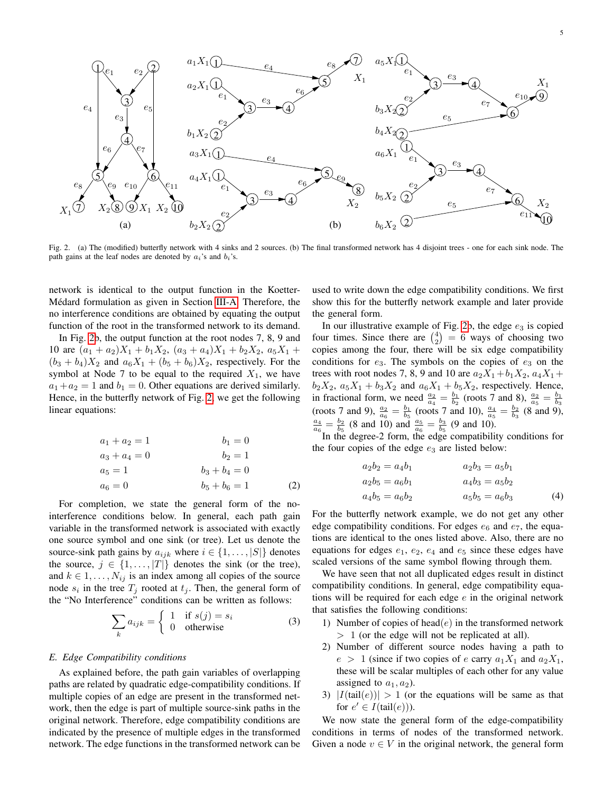

<span id="page-4-1"></span>Fig. 2. (a) The (modified) butterfly network with 4 sinks and 2 sources. (b) The final transformed network has 4 disjoint trees - one for each sink node. The path gains at the leaf nodes are denoted by  $a_i$ 's and  $b_i$ 's.

network is identical to the output function in the Koetter-Médard formulation as given in Section [III-A.](#page-2-3) Therefore, the no interference conditions are obtained by equating the output function of the root in the transformed network to its demand.

In Fig. [2b](#page-4-1), the output function at the root nodes 7, 8, 9 and 10 are  $(a_1 + a_2)X_1 + b_1X_2$ ,  $(a_3 + a_4)X_1 + b_2X_2$ ,  $a_5X_1 +$  $(b_3 + b_4)X_2$  and  $a_6X_1 + (b_5 + b_6)X_2$ , respectively. For the symbol at Node 7 to be equal to the required  $X_1$ , we have  $a_1 + a_2 = 1$  and  $b_1 = 0$ . Other equations are derived similarly. Hence, in the butterfly network of Fig. [2,](#page-4-1) we get the following linear equations:

$$
a_1 + a_2 = 1 \n a_3 + a_4 = 0 \n a_5 = 1 \n a_6 = 0
$$
\n
$$
b_1 = 0 \n b_1 = 0 \n b_2 = 1 \n b_2 = 1 \n b_3 + b_4 = 0 \n b_3 + b_6 = 1
$$
\n(2)

For completion, we state the general form of the nointerference conditions below. In general, each path gain variable in the transformed network is associated with exactly one source symbol and one sink (or tree). Let us denote the source-sink path gains by  $a_{ijk}$  where  $i \in \{1, \ldots, |S|\}$  denotes the source,  $j \in \{1, \ldots, |T|\}$  denotes the sink (or the tree), and  $k \in 1, \ldots, N_{ij}$  is an index among all copies of the source node  $s_i$  in the tree  $T_j$  rooted at  $t_j$ . Then, the general form of the "No Interference" conditions can be written as follows:

$$
\sum_{k} a_{ijk} = \begin{cases} 1 & \text{if } s(j) = s_i \\ 0 & \text{otherwise} \end{cases}
$$
 (3)

## <span id="page-4-0"></span>*E. Edge Compatibility conditions*

As explained before, the path gain variables of overlapping paths are related by quadratic edge-compatibility conditions. If multiple copies of an edge are present in the transformed network, then the edge is part of multiple source-sink paths in the original network. Therefore, edge compatibility conditions are indicated by the presence of multiple edges in the transformed network. The edge functions in the transformed network can be

used to write down the edge compatibility conditions. We first show this for the butterfly network example and later provide the general form.

In our illustrative example of Fig. [2b](#page-4-1), the edge  $e_3$  is copied four times. Since there are  $\binom{4}{2} = 6$  ways of choosing two copies among the four, there will be six edge compatibility conditions for  $e_3$ . The symbols on the copies of  $e_3$  on the trees with root nodes 7, 8, 9 and 10 are  $a_2X_1+b_1X_2$ ,  $a_4X_1+$  $b_2X_2$ ,  $a_5X_1 + b_3X_2$  and  $a_6X_1 + b_5X_2$ , respectively. Hence, in fractional form, we need  $\frac{a_2}{a_4} = \frac{b_1}{b_2}$  (roots 7 and 8),  $\frac{a_2}{a_5} = \frac{b_1}{b_3}$ <br>(roots 7 and 9),  $\frac{a_2}{a_6} = \frac{b_1}{b_5}$  (roots 7 and 10),  $\frac{a_4}{a_5} = \frac{b_2}{b_3}$  (8 and 9),  $\frac{a_4}{a_6} = \frac{b_2}{b_5}$  (8 and 10) and  $\frac{a_5}{a_6} = \frac{b_3}{b_5}$  (9 and 10).

In the degree-2 form, the edge compatibility conditions for the four copies of the edge  $e_3$  are listed below:

<span id="page-4-2"></span>
$$
a_2b_2 = a_4b_1
$$
  
\n
$$
a_2b_5 = a_6b_1
$$
  
\n
$$
a_4b_5 = a_6b_2
$$
  
\n
$$
a_5b_5 = a_6b_3
$$
  
\n
$$
a_5b_5 = a_6b_3
$$
  
\n
$$
a_6b_5 = a_6b_3
$$
 (4)

<span id="page-4-3"></span>For the butterfly network example, we do not get any other edge compatibility conditions. For edges  $e_6$  and  $e_7$ , the equations are identical to the ones listed above. Also, there are no equations for edges  $e_1$ ,  $e_2$ ,  $e_4$  and  $e_5$  since these edges have scaled versions of the same symbol flowing through them.

We have seen that not all duplicated edges result in distinct compatibility conditions. In general, edge compatibility equations will be required for each edge  $e$  in the original network that satisfies the following conditions:

- 1) Number of copies of head $(e)$  in the transformed network > 1 (or the edge will not be replicated at all).
- 2) Number of different source nodes having a path to  $e > 1$  (since if two copies of e carry  $a_1X_1$  and  $a_2X_1$ , these will be scalar multiples of each other for any value assigned to  $a_1, a_2$ ).
- 3)  $|I(tail(e))| > 1$  (or the equations will be same as that for  $e' \in I(\text{tail}(e))$ ).

We now state the general form of the edge-compatibility conditions in terms of nodes of the transformed network. Given a node  $v \in V$  in the original network, the general form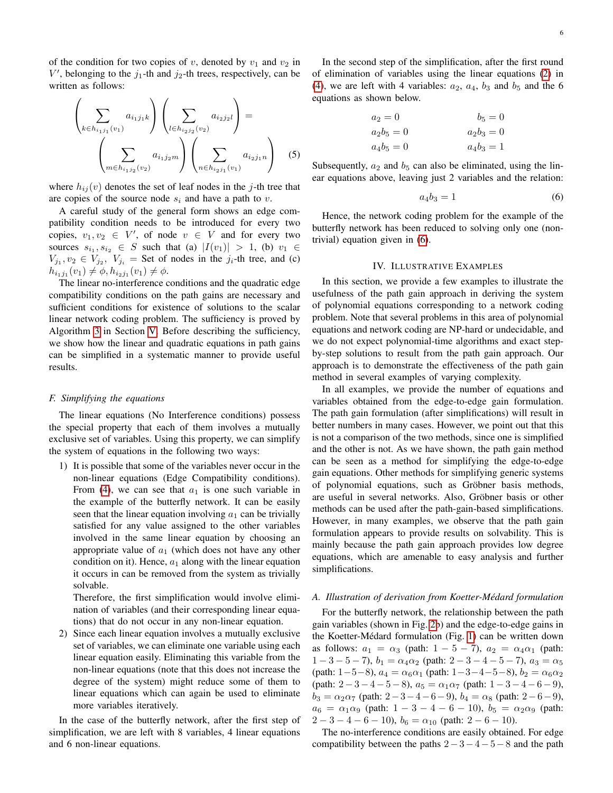of the condition for two copies of v, denoted by  $v_1$  and  $v_2$  in  $V'$ , belonging to the  $j_1$ -th and  $j_2$ -th trees, respectively, can be written as follows:

$$
\left(\sum_{k \in h_{i_1 j_1}(v_1)} a_{i_1 j_1 k}\right) \left(\sum_{l \in h_{i_2 j_2}(v_2)} a_{i_2 j_2 l}\right) = \left(\sum_{m \in h_{i_1 j_2}(v_2)} a_{i_1 j_2 m}\right) \left(\sum_{n \in h_{i_2 j_1}(v_1)} a_{i_2 j_1 n}\right)
$$
 (5)

where  $h_{ij}(v)$  denotes the set of leaf nodes in the j-th tree that are copies of the source node  $s_i$  and have a path to v.

A careful study of the general form shows an edge compatibility condition needs to be introduced for every two copies,  $v_1, v_2 \in V'$ , of node  $v \in V$  and for every two sources  $s_{i_1}, s_{i_2} \in S$  such that (a)  $|I(v_1)| > 1$ , (b)  $v_1 \in$  $V_{j_1}, v_2 \in V_{j_2}, V_{j_i}$  = Set of nodes in the  $j_i$ -th tree, and (c)  $h_{i_1j_1}(v_1) \neq \phi, h_{i_2j_1}(v_1) \neq \phi.$ 

The linear no-interference conditions and the quadratic edge compatibility conditions on the path gains are necessary and sufficient conditions for existence of solutions to the scalar linear network coding problem. The sufficiency is proved by Algorithm [3](#page-10-0) in Section [V.](#page-8-1) Before describing the sufficiency, we show how the linear and quadratic equations in path gains can be simplified in a systematic manner to provide useful results.

#### *F. Simplifying the equations*

The linear equations (No Interference conditions) possess the special property that each of them involves a mutually exclusive set of variables. Using this property, we can simplify the system of equations in the following two ways:

1) It is possible that some of the variables never occur in the non-linear equations (Edge Compatibility conditions). From [\(4\)](#page-4-2), we can see that  $a_1$  is one such variable in the example of the butterfly network. It can be easily seen that the linear equation involving  $a_1$  can be trivially satisfied for any value assigned to the other variables involved in the same linear equation by choosing an appropriate value of  $a_1$  (which does not have any other condition on it). Hence,  $a_1$  along with the linear equation it occurs in can be removed from the system as trivially solvable.

Therefore, the first simplification would involve elimination of variables (and their corresponding linear equations) that do not occur in any non-linear equation.

2) Since each linear equation involves a mutually exclusive set of variables, we can eliminate one variable using each linear equation easily. Eliminating this variable from the non-linear equations (note that this does not increase the degree of the system) might reduce some of them to linear equations which can again be used to eliminate more variables iteratively.

In the case of the butterfly network, after the first step of simplification, we are left with 8 variables, 4 linear equations and 6 non-linear equations.

In the second step of the simplification, after the first round of elimination of variables using the linear equations [\(2\)](#page-4-3) in [\(4\)](#page-4-2), we are left with 4 variables:  $a_2$ ,  $a_4$ ,  $b_3$  and  $b_5$  and the 6 equations as shown below.

$$
a_2 = 0
$$
  $b_5 = 0$   
\n $a_2b_5 = 0$   $a_2b_3 = 0$   
\n $a_4b_5 = 0$   $a_4b_3 = 1$ 

Subsequently,  $a_2$  and  $b_5$  can also be eliminated, using the linear equations above, leaving just 2 variables and the relation:

<span id="page-5-1"></span>
$$
a_4b_3=1\tag{6}
$$

Hence, the network coding problem for the example of the butterfly network has been reduced to solving only one (nontrivial) equation given in [\(6\)](#page-5-1).

## IV. ILLUSTRATIVE EXAMPLES

<span id="page-5-0"></span>In this section, we provide a few examples to illustrate the usefulness of the path gain approach in deriving the system of polynomial equations corresponding to a network coding problem. Note that several problems in this area of polynomial equations and network coding are NP-hard or undecidable, and we do not expect polynomial-time algorithms and exact stepby-step solutions to result from the path gain approach. Our approach is to demonstrate the effectiveness of the path gain method in several examples of varying complexity.

In all examples, we provide the number of equations and variables obtained from the edge-to-edge gain formulation. The path gain formulation (after simplifications) will result in better numbers in many cases. However, we point out that this is not a comparison of the two methods, since one is simplified and the other is not. As we have shown, the path gain method can be seen as a method for simplifying the edge-to-edge gain equations. Other methods for simplifying generic systems of polynomial equations, such as Gröbner basis methods, are useful in several networks. Also, Gröbner basis or other methods can be used after the path-gain-based simplifications. However, in many examples, we observe that the path gain formulation appears to provide results on solvability. This is mainly because the path gain approach provides low degree equations, which are amenable to easy analysis and further simplifications.

#### *A. Illustration of derivation from Koetter-Medard formulation ´*

For the butterfly network, the relationship between the path gain variables (shown in Fig. [2b](#page-4-1)) and the edge-to-edge gains in the Koetter-Médard formulation (Fig. [1\)](#page-2-2) can be written down as follows:  $a_1 = \alpha_3$  (path:  $1 - 5 - 7$ ),  $a_2 = \alpha_4 \alpha_1$  (path:  $1-3-5-7$ ,  $b_1 = \alpha_4 \alpha_2$  (path:  $2-3-4-5-7$ ),  $a_3 = \alpha_5$ (path: 1–5–8),  $a_4 = \alpha_6 \alpha_1$  (path: 1–3–4–5–8),  $b_2 = \alpha_6 \alpha_2$ (path:  $2-3-4-5-8$ ),  $a_5 = \alpha_1 \alpha_7$  (path:  $1-3-4-6-9$ ),  $b_3 = \alpha_2 \alpha_7$  (path: 2–3–4–6–9),  $b_4 = \alpha_8$  (path: 2–6–9),  $a_6 = \alpha_1 \alpha_9$  (path: 1 – 3 – 4 – 6 – 10),  $b_5 = \alpha_2 \alpha_9$  (path:  $2-3-4-6-10$ ,  $b_6 = \alpha_{10}$  (path:  $2-6-10$ ).

The no-interference conditions are easily obtained. For edge compatibility between the paths  $2-3-4-5-8$  and the path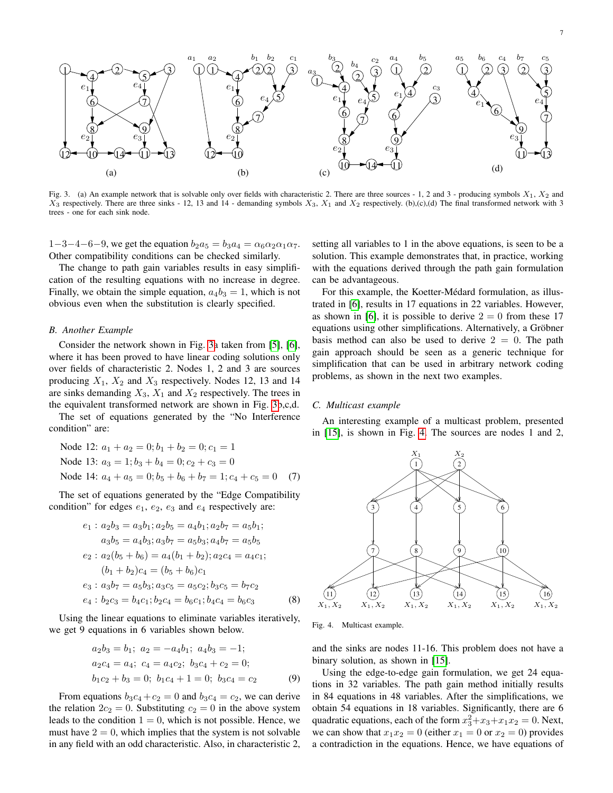

<span id="page-6-0"></span>Fig. 3. (a) An example network that is solvable only over fields with characteristic 2. There are three sources - 1, 2 and 3 - producing symbols  $X_1, X_2$  and  $X_3$  respectively. There are three sinks - 12, 13 and 14 - demanding symbols  $X_3$ ,  $X_1$  and  $X_2$  respectively. (b),(c),(d) The final transformed network with 3 trees - one for each sink node.

 $1-3-4-6-9$ , we get the equation  $b_2a_5 = b_3a_4 = \alpha_6\alpha_2\alpha_1\alpha_7$ . Other compatibility conditions can be checked similarly.

The change to path gain variables results in easy simplification of the resulting equations with no increase in degree. Finally, we obtain the simple equation,  $a_4b_3 = 1$ , which is not obvious even when the substitution is clearly specified.

# *B. Another Example*

Consider the network shown in Fig. [3a](#page-6-0) taken from [\[5\]](#page-11-4), [\[6\]](#page-11-5), where it has been proved to have linear coding solutions only over fields of characteristic 2. Nodes 1, 2 and 3 are sources producing  $X_1$ ,  $X_2$  and  $X_3$  respectively. Nodes 12, 13 and 14 are sinks demanding  $X_3$ ,  $X_1$  and  $X_2$  respectively. The trees in the equivalent transformed network are shown in Fig. [3b](#page-6-0),c,d.

The set of equations generated by the "No Interference condition" are:

Node 12: 
$$
a_1 + a_2 = 0
$$
;  $b_1 + b_2 = 0$ ;  $c_1 = 1$   
\nNode 13:  $a_3 = 1$ ;  $b_3 + b_4 = 0$ ;  $c_2 + c_3 = 0$   
\nNode 14:  $a_4 + a_5 = 0$ ;  $b_5 + b_6 + b_7 = 1$ ;  $c_4 + c_5 = 0$  (7)

The set of equations generated by the "Edge Compatibility condition" for edges  $e_1$ ,  $e_2$ ,  $e_3$  and  $e_4$  respectively are:

$$
e_1: a_2b_3 = a_3b_1; a_2b_5 = a_4b_1; a_2b_7 = a_5b_1;
$$
  
\n
$$
a_3b_5 = a_4b_3; a_3b_7 = a_5b_3; a_4b_7 = a_5b_5
$$
  
\n
$$
e_2: a_2(b_5 + b_6) = a_4(b_1 + b_2); a_2c_4 = a_4c_1;
$$
  
\n
$$
(b_1 + b_2)c_4 = (b_5 + b_6)c_1
$$
  
\n
$$
e_3: a_3b_7 = a_5b_3; a_3c_5 = a_5c_2; b_3c_5 = b_7c_2
$$
  
\n
$$
e_4: b_2c_3 = b_4c_1; b_2c_4 = b_6c_1; b_4c_4 = b_6c_3
$$
 (8)

Using the linear equations to eliminate variables iteratively, we get 9 equations in 6 variables shown below.

$$
a_2b_3 = b_1; a_2 = -a_4b_1; a_4b_3 = -1;
$$
  
\n
$$
a_2c_4 = a_4; c_4 = a_4c_2; b_3c_4 + c_2 = 0;
$$
  
\n
$$
b_1c_2 + b_3 = 0; b_1c_4 + 1 = 0; b_3c_4 = c_2
$$
\n(9)

From equations  $b_3c_4 + c_2 = 0$  and  $b_3c_4 = c_2$ , we can derive the relation  $2c_2 = 0$ . Substituting  $c_2 = 0$  in the above system leads to the condition  $1 = 0$ , which is not possible. Hence, we must have  $2 = 0$ , which implies that the system is not solvable in any field with an odd characteristic. Also, in characteristic 2, setting all variables to 1 in the above equations, is seen to be a solution. This example demonstrates that, in practice, working with the equations derived through the path gain formulation can be advantageous.

For this example, the Koetter-Médard formulation, as illustrated in [\[6\]](#page-11-5), results in 17 equations in 22 variables. However, as shown in [\[6\]](#page-11-5), it is possible to derive  $2 = 0$  from these 17 equations using other simplifications. Alternatively, a Gröbner basis method can also be used to derive  $2 = 0$ . The path gain approach should be seen as a generic technique for simplification that can be used in arbitrary network coding problems, as shown in the next two examples.

## *C. Multicast example*

An interesting example of a multicast problem, presented in [\[15\]](#page-11-15), is shown in Fig. [4.](#page-6-1) The sources are nodes 1 and 2,



<span id="page-6-1"></span>Fig. 4. Multicast example.

and the sinks are nodes 11-16. This problem does not have a binary solution, as shown in [\[15\]](#page-11-15).

Using the edge-to-edge gain formulation, we get 24 equations in 32 variables. The path gain method initially results in 84 equations in 48 variables. After the simplifications, we obtain 54 equations in 18 variables. Significantly, there are 6 quadratic equations, each of the form  $x_3^2 + x_3 + x_1x_2 = 0$ . Next, we can show that  $x_1x_2 = 0$  (either  $x_1 = 0$  or  $x_2 = 0$ ) provides a contradiction in the equations. Hence, we have equations of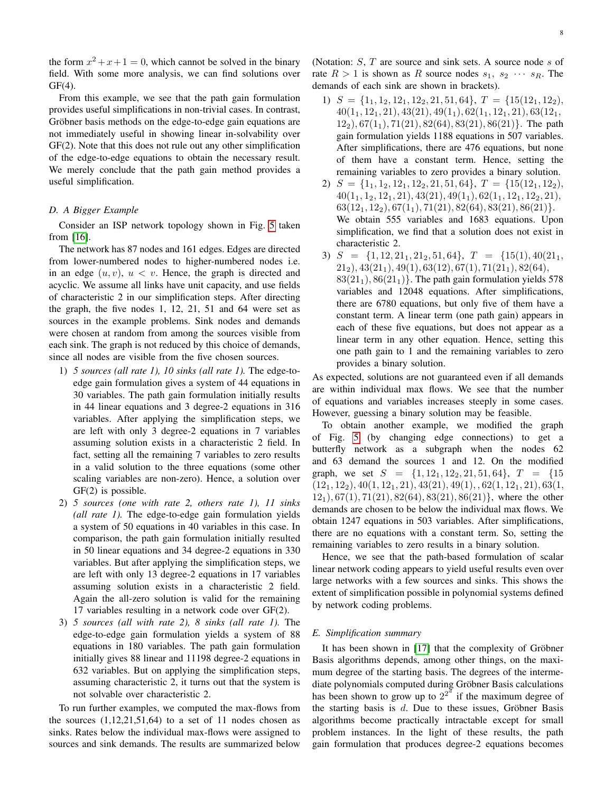the form  $x^2 + x + 1 = 0$ , which cannot be solved in the binary field. With some more analysis, we can find solutions over  $GF(4)$ .

From this example, we see that the path gain formulation provides useful simplifications in non-trivial cases. In contrast, Gröbner basis methods on the edge-to-edge gain equations are not immediately useful in showing linear in-solvability over GF(2). Note that this does not rule out any other simplification of the edge-to-edge equations to obtain the necessary result. We merely conclude that the path gain method provides a useful simplification.

## <span id="page-7-0"></span>*D. A Bigger Example*

Consider an ISP network topology shown in Fig. [5](#page-8-0) taken from [\[16\]](#page-11-16).

The network has 87 nodes and 161 edges. Edges are directed from lower-numbered nodes to higher-numbered nodes i.e. in an edge  $(u, v)$ ,  $u < v$ . Hence, the graph is directed and acyclic. We assume all links have unit capacity, and use fields of characteristic 2 in our simplification steps. After directing the graph, the five nodes 1, 12, 21, 51 and 64 were set as sources in the example problems. Sink nodes and demands were chosen at random from among the sources visible from each sink. The graph is not reduced by this choice of demands, since all nodes are visible from the five chosen sources.

- 1) *5 sources (all rate 1), 10 sinks (all rate 1).* The edge-toedge gain formulation gives a system of 44 equations in 30 variables. The path gain formulation initially results in 44 linear equations and 3 degree-2 equations in 316 variables. After applying the simplification steps, we are left with only 3 degree-2 equations in 7 variables assuming solution exists in a characteristic 2 field. In fact, setting all the remaining 7 variables to zero results in a valid solution to the three equations (some other scaling variables are non-zero). Hence, a solution over GF(2) is possible.
- 2) *5 sources (one with rate 2, others rate 1), 11 sinks (all rate 1).* The edge-to-edge gain formulation yields a system of 50 equations in 40 variables in this case. In comparison, the path gain formulation initially resulted in 50 linear equations and 34 degree-2 equations in 330 variables. But after applying the simplification steps, we are left with only 13 degree-2 equations in 17 variables assuming solution exists in a characteristic 2 field. Again the all-zero solution is valid for the remaining 17 variables resulting in a network code over GF(2).
- 3) *5 sources (all with rate 2), 8 sinks (all rate 1).* The edge-to-edge gain formulation yields a system of 88 equations in 180 variables. The path gain formulation initially gives 88 linear and 11198 degree-2 equations in 632 variables. But on applying the simplification steps, assuming characteristic 2, it turns out that the system is not solvable over characteristic 2.

To run further examples, we computed the max-flows from the sources  $(1,12,21,51,64)$  to a set of 11 nodes chosen as sinks. Rates below the individual max-flows were assigned to sources and sink demands. The results are summarized below (Notation: S, T are source and sink sets. A source node s of rate  $R > 1$  is shown as R source nodes  $s_1, s_2 \cdots s_R$ . The demands of each sink are shown in brackets).

- 1)  $S = \{1_1, 1_2, 12_1, 12_2, 21, 51, 64\}, T = \{15(12_1, 12_2),$  $40(1_1, 12_1, 21), 43(21), 49(1_1), 62(1_1, 12_1, 21), 63(12_1,$  $12<sub>2</sub>$ ,  $67(1<sub>1</sub>)$ ,  $71(21)$ ,  $82(64)$ ,  $83(21)$ ,  $86(21)$ }. The path gain formulation yields 1188 equations in 507 variables. After simplifications, there are 476 equations, but none of them have a constant term. Hence, setting the remaining variables to zero provides a binary solution.
- 2)  $S = \{1_1, 1_2, 12_1, 12_2, 21, 51, 64\}, T = \{15(12_1, 12_2),$  $40(1_1, 1_2, 12_1, 21), 43(21), 49(1_1), 62(1_1, 12_1, 12_2, 21),$  $63(12_1, 12_2), 67(1_1), 71(21), 82(64), 83(21), 86(21)$ . We obtain 555 variables and 1683 equations. Upon simplification, we find that a solution does not exist in characteristic 2.
- 3)  $S = \{1, 12, 21_1, 21_2, 51, 64\}, T = \{15(1), 40(21_1,$  $21_2$ ,  $43(21_1)$ ,  $49(1)$ ,  $63(12)$ ,  $67(1)$ ,  $71(21_1)$ ,  $82(64)$ ,  $83(21<sub>1</sub>), 86(21<sub>1</sub>)$ . The path gain formulation yields 578 variables and 12048 equations. After simplifications, there are 6780 equations, but only five of them have a constant term. A linear term (one path gain) appears in each of these five equations, but does not appear as a linear term in any other equation. Hence, setting this one path gain to 1 and the remaining variables to zero provides a binary solution.

As expected, solutions are not guaranteed even if all demands are within individual max flows. We see that the number of equations and variables increases steeply in some cases. However, guessing a binary solution may be feasible.

To obtain another example, we modified the graph of Fig. [5](#page-8-0) (by changing edge connections) to get a butterfly network as a subgraph when the nodes 62 and 63 demand the sources 1 and 12. On the modified graph, we set  $S = \{1, 12_1, 12_2, 21, 51, 64\}, T = \{15$  $(12_1, 12_2), 40(1, 12_1, 21), 43(21), 49(1), 62(1, 12_1, 21), 63(1,$  $12<sub>1</sub>$ , 67(1), 71(21), 82(64), 83(21), 86(21)}, where the other demands are chosen to be below the individual max flows. We obtain 1247 equations in 503 variables. After simplifications, there are no equations with a constant term. So, setting the remaining variables to zero results in a binary solution.

Hence, we see that the path-based formulation of scalar linear network coding appears to yield useful results even over large networks with a few sources and sinks. This shows the extent of simplification possible in polynomial systems defined by network coding problems.

## *E. Simplification summary*

It has been shown in  $[17]$  that the complexity of Gröbner Basis algorithms depends, among other things, on the maximum degree of the starting basis. The degrees of the intermediate polynomials computed during Gröbner Basis calculations has been shown to grow up to  $2^{2^d}$  if the maximum degree of the starting basis is  $d$ . Due to these issues, Gröbner Basis algorithms become practically intractable except for small problem instances. In the light of these results, the path gain formulation that produces degree-2 equations becomes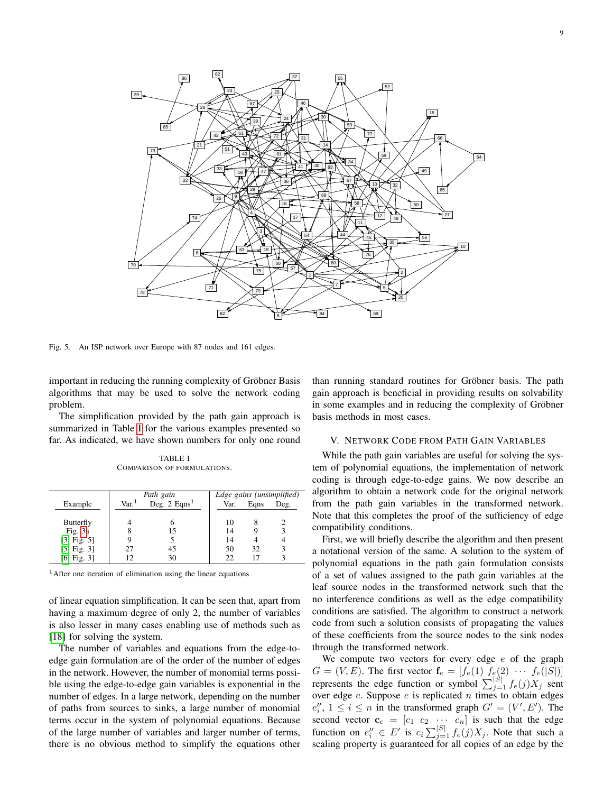

<span id="page-8-0"></span>Fig. 5. An ISP network over Europe with 87 nodes and 161 edges.

important in reducing the running complexity of Gröbner Basis algorithms that may be used to solve the network coding problem.

The simplification provided by the path gain approach is summarized in Table [I](#page-8-2) for the various examples presented so far. As indicated, we have shown numbers for only one round

TABLE I COMPARISON OF FORMULATIONS.

<span id="page-8-2"></span>

|                  | Path gain        |                            | Edge gains (unsimplified) |      |      |
|------------------|------------------|----------------------------|---------------------------|------|------|
| Example          | Var <sup>1</sup> | Deg. $2$ Eqns <sup>1</sup> | Var.                      | Eans | Deg. |
|                  |                  |                            |                           |      |      |
| <b>Butterfly</b> |                  |                            | 10                        |      |      |
| Fig. 3a          |                  | 15                         | 14                        |      |      |
| [3, Fig. 5]      |                  |                            | 14                        |      |      |
| [5, Fig. 3]      | 27               | 45                         | 50                        | 32   |      |
| [6, Fig. 3]      |                  | 30                         | つつ                        |      |      |

 $<sup>1</sup>$ After one iteration of elimination using the linear equations</sup>

of linear equation simplification. It can be seen that, apart from having a maximum degree of only 2, the number of variables is also lesser in many cases enabling use of methods such as [\[18\]](#page-11-18) for solving the system.

The number of variables and equations from the edge-toedge gain formulation are of the order of the number of edges in the network. However, the number of monomial terms possible using the edge-to-edge gain variables is exponential in the number of edges. In a large network, depending on the number of paths from sources to sinks, a large number of monomial terms occur in the system of polynomial equations. Because of the large number of variables and larger number of terms, there is no obvious method to simplify the equations other than running standard routines for Gröbner basis. The path gain approach is beneficial in providing results on solvability in some examples and in reducing the complexity of Gröbner basis methods in most cases.

## <span id="page-8-1"></span>V. NETWORK CODE FROM PATH GAIN VARIABLES

While the path gain variables are useful for solving the system of polynomial equations, the implementation of network coding is through edge-to-edge gains. We now describe an algorithm to obtain a network code for the original network from the path gain variables in the transformed network. Note that this completes the proof of the sufficiency of edge compatibility conditions.

First, we will briefly describe the algorithm and then present a notational version of the same. A solution to the system of polynomial equations in the path gain formulation consists of a set of values assigned to the path gain variables at the leaf source nodes in the transformed network such that the no interference conditions as well as the edge compatibility conditions are satisfied. The algorithm to construct a network code from such a solution consists of propagating the values of these coefficients from the source nodes to the sink nodes through the transformed network.

We compute two vectors for every edge  $e$  of the graph  $G = (V, E)$ . The first vector  $f_e = [f_e(1) \ f_e(2) \ \cdots \ f_e(|S|)]$ represents the edge function or symbol  $\sum_{j=1}^{|S|} f_e(j) X_j$  sent over edge  $e$ . Suppose  $e$  is replicated  $n$  times to obtain edges  $e''_i$ ,  $1 \le i \le n$  in the transformed graph  $G' = (V', E')$ . The second vector  $\mathbf{c}_e = \begin{bmatrix} c_1 & c_2 & \cdots & c_n \end{bmatrix}$  is such that the edge function on  $e_i'' \in E'$  is  $c_i \sum_{j=1}^{|S|} f_e(j) X_j$ . Note that such a scaling property is guaranteed for all copies of an edge by the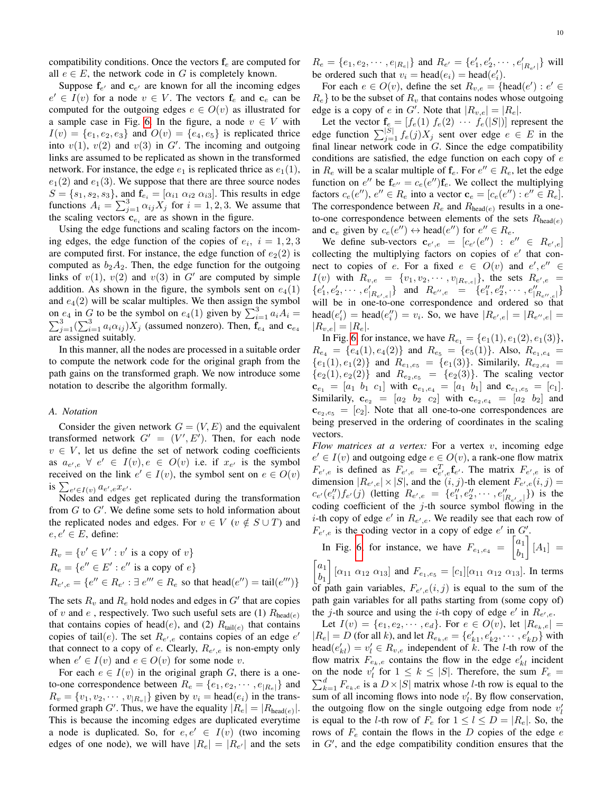compatibility conditions. Once the vectors  $f_e$  are computed for all  $e \in E$ , the network code in G is completely known.

Suppose  $f_{e'}$  and  $c_{e'}$  are known for all the incoming edges  $e' \in I(v)$  for a node  $v \in V$ . The vectors  $f_e$  and  $c_e$  can be computed for the outgoing edges  $e \in O(v)$  as illustrated for a sample case in Fig. [6.](#page-10-1) In the figure, a node  $v \in V$  with  $I(v) = \{e_1, e_2, e_3\}$  and  $O(v) = \{e_4, e_5\}$  is replicated thrice into  $v(1)$ ,  $v(2)$  and  $v(3)$  in G'. The incoming and outgoing links are assumed to be replicated as shown in the transformed network. For instance, the edge  $e_1$  is replicated thrice as  $e_1(1)$ ,  $e_1(2)$  and  $e_1(3)$ . We suppose that there are three source nodes  $S = \{s_1, s_2, s_3\}$ , and  $\mathbf{f}_{e_i} = [\alpha_{i1} \ \alpha_{i2} \ \alpha_{i3}]$ . This results in edge functions  $A_i = \sum_{j=1}^{3} \alpha_{ij} X_j$  for  $i = 1, 2, 3$ . We assume that the scaling vectors  $\mathbf{c}_{e_i}$  are as shown in the figure.

Using the edge functions and scaling factors on the incoming edges, the edge function of the copies of  $e_i$ ,  $i = 1, 2, 3$ are computed first. For instance, the edge function of  $e_2(2)$  is computed as  $b_2A_2$ . Then, the edge function for the outgoing links of  $v(1)$ ,  $v(2)$  and  $v(3)$  in G' are computed by simple addition. As shown in the figure, the symbols sent on  $e_4(1)$ and  $e_4(2)$  will be scalar multiples. We then assign the symbol on  $e_4$  in G to be the symbol on  $e_4(1)$  given by  $\sum_{i=1}^3 a_i A_i =$  $\sum_{j=1}^{3} (\sum_{i=1}^{3} a_i \alpha_{ij}) X_j$  (assumed nonzero). Then,  $\mathbf{f}_{e_4}$  and  $\mathbf{c}_{e_4}$ are assigned suitably.

In this manner, all the nodes are processed in a suitable order to compute the network code for the original graph from the path gains on the transformed graph. We now introduce some notation to describe the algorithm formally.

## *A. Notation*

Consider the given network  $G = (V, E)$  and the equivalent transformed network  $G' = (V', E')$ . Then, for each node  $v \in V$ , let us define the set of network coding coefficients as  $a_{e',e} \ \forall \ e' \in I(v), e \in O(v)$  i.e. if  $x_{e'}$  is the symbol received on the link  $e' \in I(v)$ , the symbol sent on  $e \in O(v)$ is  $\sum_{e' \in I(v)} a_{e',e} x_{e'}.$ 

Nodes and edges get replicated during the transformation from  $G$  to  $G'$ . We define some sets to hold information about the replicated nodes and edges. For  $v \in V$  ( $v \notin S \cup T$ ) and  $e, e' \in E$ , define:

$$
R_v = \{v' \in V' : v' \text{ is a copy of } v\}
$$
  
\n
$$
R_e = \{e'' \in E' : e'' \text{ is a copy of } e\}
$$
  
\n
$$
R_{e',e} = \{e'' \in R_{e'} : \exists e''' \in R_e \text{ so that head}(e'') = \text{tail}(e''')\}
$$

The sets  $R_v$  and  $R_e$  hold nodes and edges in  $G'$  that are copies of v and e, respectively. Two such useful sets are (1)  $R_{\text{head}(e)}$ that contains copies of head(*e*), and (2)  $R_{\text{tail}(e)}$  that contains copies of tail $(e)$ . The set  $R_{e',e}$  contains copies of an edge  $e'$ that connect to a copy of e. Clearly,  $R_{e',e}$  is non-empty only when  $e' \in I(v)$  and  $e \in O(v)$  for some node v.

For each  $e \in I(v)$  in the original graph G, there is a oneto-one correspondence between  $R_e = \{e_1, e_2, \dots, e_{|R_e|}\}\$  and  $R_v = \{v_1, v_2, \cdots, v_{|R_v|}\}\$  given by  $v_i = \text{head}(e_i)$  in the transformed graph G'. Thus, we have the equality  $|R_e| = |R_{head(e)}|$ . This is because the incoming edges are duplicated everytime a node is duplicated. So, for  $e, e' \in I(v)$  (two incoming edges of one node), we will have  $|R_e| = |R_{e'}|$  and the sets  $R_e = \{e_1, e_2, \cdots, e_{|R_e|}\}\$  and  $R_{e'} = \{e'_1, e'_2, \cdots, e'_{|R_{e'}|}\}\$  will be ordered such that  $v_i = \text{head}(e_i) = \text{head}(e'_i)$ .

For each  $e \in O(v)$ , define the set  $R_{v,e} = \{head(e') : e' \in$  $R_e$  to be the subset of  $R_v$  that contains nodes whose outgoing edge is a copy of e in G'. Note that  $|R_{v,e}| = |R_e|$ .

Let the vector  $f_e = [f_e(1) \ f_e(2) \ \cdots \ f_e(|S|)]$  represent the edge function  $\sum_{j=1}^{|S|} f_e(j) X_j$  sent over edge  $e \in E$  in the final linear network code in  $G$ . Since the edge compatibility conditions are satisfied, the edge function on each copy of  $e$ in  $R_e$  will be a scalar multiple of  $f_e$ . For  $e'' \in R_e$ , let the edge function on  $e''$  be  $f_{e''} = c_e(e'')f_e$ . We collect the multiplying factors  $c_e(e'')$ ,  $e'' \in R_e$  into a vector  $\mathbf{c}_e = [c_e(e'') : e'' \in R_e]$ . The correspondence between  $R_e$  and  $R_{\text{head}(e)}$  results in a oneto-one correspondence between elements of the sets  $R_{head(e)}$ and  $\mathbf{c}_e$  given by  $c_e(e'') \leftrightarrow \text{head}(e'')$  for  $e'' \in R_e$ .

We define sub-vectors  $\mathbf{c}_{e',e} = [c_{e'}(e'') : e$  $^{\prime\prime}$   $\in$   $R_{e^{\prime},e}$ collecting the multiplying factors on copies of  $e'$  that connect to copies of e. For a fixed  $e \in O(v)$  and  $e', e'' \in$  $I(v)$  with  $R_{v,e} = \{v_1, v_2, \cdots, v_{|R_{v,e}|}\},$  the sets  $R_{e',e}$  $\{e'_1,e'_2,\cdots,e'_{|R_{e',e}|}\}\$ and  $R_{e'',e} = \{e''_1,e''_2,\cdots,e''_{|R_{e'',e}|}\}\$ will be in one-to-one correspondence and ordered so that head $(e'_i)$  = head $(e''_i)$  =  $v_i$ . So, we have  $|R_{e',e}| = |R_{e'',e}| =$  $|R_{v,e}| = |R_e|$ .

In Fig. [6,](#page-10-1) for instance, we have  $R_{e_1} = \{e_1(1), e_1(2), e_1(3)\},\$  $R_{e_4} = \{e_4(1), e_4(2)\}\$  and  $R_{e_5} = \{e_5(1)\}\$ . Also,  $R_{e_1, e_4} =$  ${e_1(1), e_1(2)}$  and  $R_{e_1,e_5} = {e_1(3)}$ . Similarily,  $R_{e_2,e_4}$  =  ${e_2(1), e_2(2)}$  and  $R_{e_2,e_5} = {e_2(3)}$ . The scaling vector  $c_{e_1} = [a_1 \ b_1 \ c_1]$  with  $c_{e_1,e_4} = [a_1 \ b_1]$  and  $c_{e_1,e_5} = [c_1]$ . Similarily,  $c_{e_2} = [a_2 \ b_2 \ c_2]$  with  $c_{e_2,e_4} = [a_2 \ b_2]$  and  $c_{e_2,e_5} = [c_2]$ . Note that all one-to-one correspondences are being preserved in the ordering of coordinates in the scaling vectors.

*Flow matrices at a vertex:* For a vertex v, incoming edge  $e' \in I(v)$  and outgoing edge  $e \in O(v)$ , a rank-one flow matrix  $F_{e',e}$  is defined as  $F_{e',e} = \mathbf{c}_{e',e}^T \mathbf{f}_{e'}$ . The matrix  $F_{e',e}$  is of dimension  $|R_{e',e}| \times |S|$ , and the  $(i, j)$ -th element  $F_{e',e}(i, j)$  =  $c_{e'}(e''_i) f_{e'}(j)$  (letting  $R_{e',e} = \{e''_1, e''_2, \cdots, e''_{|R_{e',e}|}\}\)$  is the coding coefficient of the  $j$ -th source symbol flowing in the *i*-th copy of edge  $e'$  in  $R_{e',e}$ . We readily see that each row of  $F_{e',e}$  is the coding vector in a copy of edge  $e'$  in  $G'$ .

In Fig. [6,](#page-10-1) for instance, we have  $F_{e_1,e_4} = \begin{bmatrix} a_1 \\ b_1 \end{bmatrix}$  $b_1$  $\Big] [A_1] =$  $\lceil a_1 \rceil$  $b_1$  $\left[ \alpha_{11} \alpha_{12} \alpha_{13} \right]$  and  $F_{e_1,e_5} = [c_1][\alpha_{11} \alpha_{12} \alpha_{13}]$ . In terms

of path gain variables,  $F_{e',e}(i,j)$  is equal to the sum of the path gain variables for all paths starting from (some copy of) the j-th source and using the *i*-th copy of edge  $e'$  in  $R_{e',e}$ .

Let  $I(v) = \{e_1, e_2, \dots, e_d\}$ . For  $e \in O(v)$ , let  $|R_{e_k,e}| =$  $|R_e| = D$  (for all k), and let  $R_{e_k, e} = \{e'_{k1}, e'_{k2}, \cdots, e'_{kD}\}$  with head $(e'_{kl}) = v'_{l} \in R_{v,e}$  independent of k. The l-th row of the flow matrix  $F_{e_k,e}$  contains the flow in the edge  $e'_{kl}$  incident on the node  $v'_l$  for  $1 \leq k \leq |S|$ . Therefore, the sum  $F_e$  =  $\sum_{k=1}^{d} F_{e_k,e}$  is a  $D \times |S|$  matrix whose *l*-th row is equal to the sum of all incoming flows into node  $v'_l$ . By flow conservation, the outgoing flow on the single outgoing edge from node  $v_l$ is equal to the *l*-th row of  $F_e$  for  $1 \le l \le D = |R_e|$ . So, the rows of  $F_e$  contain the flows in the  $D$  copies of the edge  $e$ in  $G'$ , and the edge compatibility condition ensures that the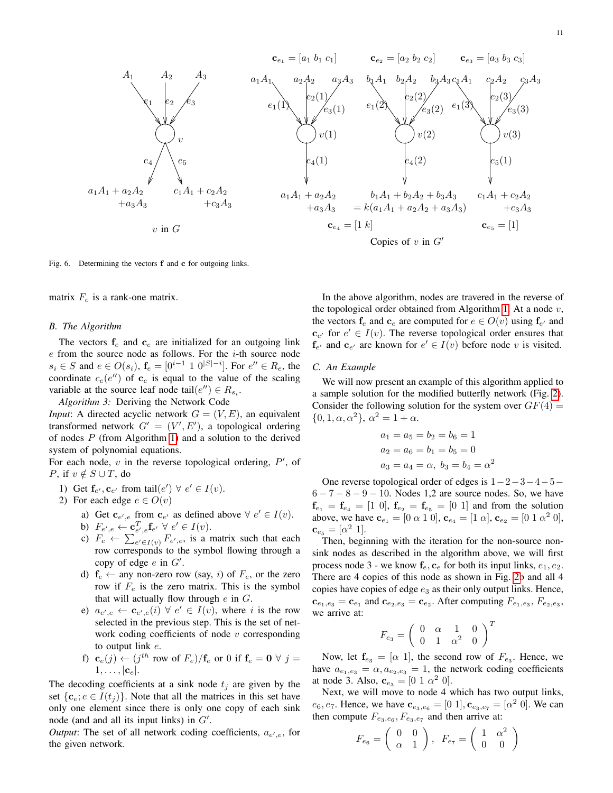

<span id="page-10-1"></span>Fig. 6. Determining the vectors f and c for outgoing links.

matrix  $F_e$  is a rank-one matrix.

# *B. The Algorithm*

The vectors  $f_e$  and  $c_e$  are initialized for an outgoing link  $e$  from the source node as follows. For the  $i$ -th source node  $s_i \in S$  and  $e \in O(s_i)$ ,  $\mathbf{f}_e = [0^{i-1} \; 1 \; 0^{|S|-i}]$ . For  $e'' \in R_e$ , the coordinate  $c_e(e'')$  of  $\mathbf{c}_e$  is equal to the value of the scaling variable at the source leaf node tail $(e'') \in R_{s_i}$ .

*Algorithm 3:* Deriving the Network Code

*Input*: A directed acyclic network  $G = (V, E)$ , an equivalent transformed network  $G' = (V', E')$ , a topological ordering of nodes  $P$  (from Algorithm [1\)](#page-3-0) and a solution to the derived system of polynomial equations.

For each node,  $v$  in the reverse topological ordering,  $P'$ , of *P*, if  $v \notin S \cup T$ , do

- 1) Get  $f_{e'}, c_{e'}$  from tail $(e') \forall e' \in I(v)$ .
- 2) For each edge  $e \in O(v)$ 
	- a) Get  $\mathbf{c}_{e',e}$  from  $\mathbf{c}_{e'}$  as defined above  $\forall e' \in I(v)$ .
	- b)  $F_{e',e} \leftarrow \mathbf{c}_{e',e}^T \mathbf{f}_{e'} \ \forall \ e' \in I(v).$
	- c)  $F_e \leftarrow \sum_{e' \in I(v)} F_{e',e}$ , is a matrix such that each row corresponds to the symbol flowing through a copy of edge  $e$  in  $G'$ .
	- d)  $f_e \leftarrow$  any non-zero row (say, i) of  $F_e$ , or the zero row if  $F_e$  is the zero matrix. This is the symbol that will actually flow through  $e$  in  $G$ .
	- e)  $a_{e',e} \leftarrow \mathbf{c}_{e',e}(i) \ \forall \ e' \in I(v)$ , where i is the row selected in the previous step. This is the set of network coding coefficients of node  $v$  corresponding to output link e.
	- f)  $\mathbf{c}_e(j) \leftarrow (j^{th} \text{ row of } F_e)/\mathbf{f}_e$  or 0 if  $\mathbf{f}_e = \mathbf{0} \ \forall \ j =$  $1, \ldots, |\mathbf{c}_e|.$

The decoding coefficients at a sink node  $t_i$  are given by the set  $\{c_e; e \in I(t_i)\}\$ . Note that all the matrices in this set have only one element since there is only one copy of each sink node (and and all its input links) in  $G'$ .

*Output*: The set of all network coding coefficients,  $a_{e',e}$ , for the given network.

In the above algorithm, nodes are travered in the reverse of the topological order obtained from Algorithm [1.](#page-3-0) At a node  $v$ , the vectors  $f_e$  and  $c_e$  are computed for  $e \in O(v)$  using  $f_{e'}$  and  $c_{e'}$  for  $e' \in I(v)$ . The reverse topological order ensures that  $f_{e'}$  and  $c_{e'}$  are known for  $e' \in I(v)$  before node v is visited.

# *C. An Example*

<span id="page-10-0"></span>We will now present an example of this algorithm applied to a sample solution for the modified butterfly network (Fig. [2\)](#page-4-1). Consider the following solution for the system over  $GF(4) =$  $\{0, 1, \alpha, \alpha^2\}, \alpha^2 = 1 + \alpha.$ 

$$
a_1 = a_5 = b_2 = b_6 = 1
$$
  

$$
a_2 = a_6 = b_1 = b_5 = 0
$$
  

$$
a_3 = a_4 = \alpha, \ b_3 = b_4 = \alpha^2
$$

One reverse topological order of edges is  $1-2-3-4-5 6 - 7 - 8 - 9 - 10$ . Nodes 1,2 are source nodes. So, we have  $f_{e_1} = f_{e_4} = [1 \ 0], f_{e_2} = f_{e_5} = [0 \ 1]$  and from the solution above, we have  $\mathbf{c}_{e_1} = [0 \alpha 1 0], \mathbf{c}_{e_4} = [1 \alpha], \mathbf{c}_{e_2} = [0 1 \alpha^2 0],$  ${\bf c}_{e_5} = [\alpha^2 \; 1].$ 

Then, beginning with the iteration for the non-source nonsink nodes as described in the algorithm above, we will first process node 3 - we know  $f_e, c_e$  for both its input links,  $e_1, e_2$ . There are 4 copies of this node as shown in Fig. [2b](#page-4-1) and all 4 copies have copies of edge  $e_3$  as their only output links. Hence,  ${\bf c}_{e_1,e_3} = {\bf c}_{e_1}$  and  ${\bf c}_{e_2,e_3} = {\bf c}_{e_2}$ . After computing  $F_{e_1,e_3}$ ,  $F_{e_2,e_3}$ , we arrive at:

$$
F_{e_3}=\left(\begin{array}{cccc} 0 & \alpha & 1 & 0 \\ 0 & 1 & \alpha^2 & 0 \end{array}\right)^T
$$

Now, let  $f_{e_3} = [\alpha 1]$ , the second row of  $F_{e_3}$ . Hence, we have  $a_{e_1,e_3} = \alpha, a_{e_2,e_3} = 1$ , the network coding coefficients at node 3. Also,  $\mathbf{c}_{e_3} = [0 \ 1 \ \alpha^2 \ 0].$ 

Next, we will move to node 4 which has two output links,  $e_6, e_7$ . Hence, we have  $\mathbf{c}_{e_3,e_6} = [0 \; 1], \mathbf{c}_{e_3,e_7} = [\alpha^2 \; 0].$  We can then compute  $F_{e_3,e_6}, F_{e_3,e_7}$  and then arrive at:

$$
F_{e_6} = \left(\begin{array}{cc} 0 & 0 \\ \alpha & 1 \end{array}\right), \ \ F_{e_7} = \left(\begin{array}{cc} 1 & \alpha^2 \\ 0 & 0 \end{array}\right)
$$